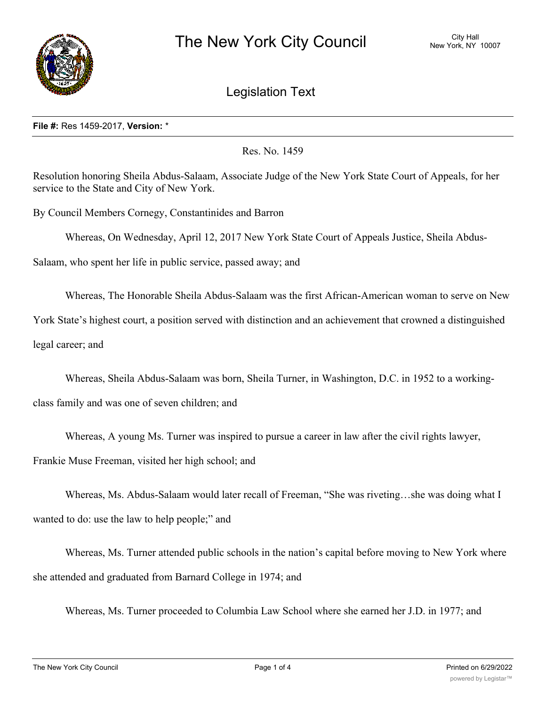

## Legislation Text

## **File #:** Res 1459-2017, **Version:** \*

Res. No. 1459

Resolution honoring Sheila Abdus-Salaam, Associate Judge of the New York State Court of Appeals, for her service to the State and City of New York.

By Council Members Cornegy, Constantinides and Barron

Whereas, On Wednesday, April 12, 2017 New York State Court of Appeals Justice, Sheila Abdus-

Salaam, who spent her life in public service, passed away; and

Whereas, The Honorable Sheila Abdus-Salaam was the first African-American woman to serve on New

York State's highest court, a position served with distinction and an achievement that crowned a distinguished

legal career; and

Whereas, Sheila Abdus-Salaam was born, Sheila Turner, in Washington, D.C. in 1952 to a working-

class family and was one of seven children; and

Whereas, A young Ms. Turner was inspired to pursue a career in law after the civil rights lawyer,

Frankie Muse Freeman, visited her high school; and

Whereas, Ms. Abdus-Salaam would later recall of Freeman, "She was riveting…she was doing what I wanted to do: use the law to help people;" and

Whereas, Ms. Turner attended public schools in the nation's capital before moving to New York where she attended and graduated from Barnard College in 1974; and

Whereas, Ms. Turner proceeded to Columbia Law School where she earned her J.D. in 1977; and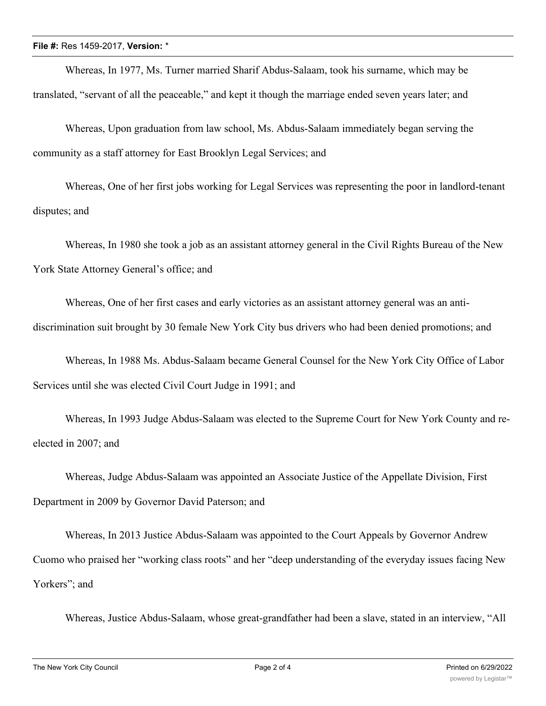Whereas, In 1977, Ms. Turner married Sharif Abdus-Salaam, took his surname, which may be translated, "servant of all the peaceable," and kept it though the marriage ended seven years later; and

Whereas, Upon graduation from law school, Ms. Abdus-Salaam immediately began serving the community as a staff attorney for East Brooklyn Legal Services; and

Whereas, One of her first jobs working for Legal Services was representing the poor in landlord-tenant disputes; and

Whereas, In 1980 she took a job as an assistant attorney general in the Civil Rights Bureau of the New York State Attorney General's office; and

Whereas, One of her first cases and early victories as an assistant attorney general was an antidiscrimination suit brought by 30 female New York City bus drivers who had been denied promotions; and

Whereas, In 1988 Ms. Abdus-Salaam became General Counsel for the New York City Office of Labor Services until she was elected Civil Court Judge in 1991; and

Whereas, In 1993 Judge Abdus-Salaam was elected to the Supreme Court for New York County and reelected in 2007; and

Whereas, Judge Abdus-Salaam was appointed an Associate Justice of the Appellate Division, First Department in 2009 by Governor David Paterson; and

Whereas, In 2013 Justice Abdus-Salaam was appointed to the Court Appeals by Governor Andrew Cuomo who praised her "working class roots" and her "deep understanding of the everyday issues facing New Yorkers"; and

Whereas, Justice Abdus-Salaam, whose great-grandfather had been a slave, stated in an interview, "All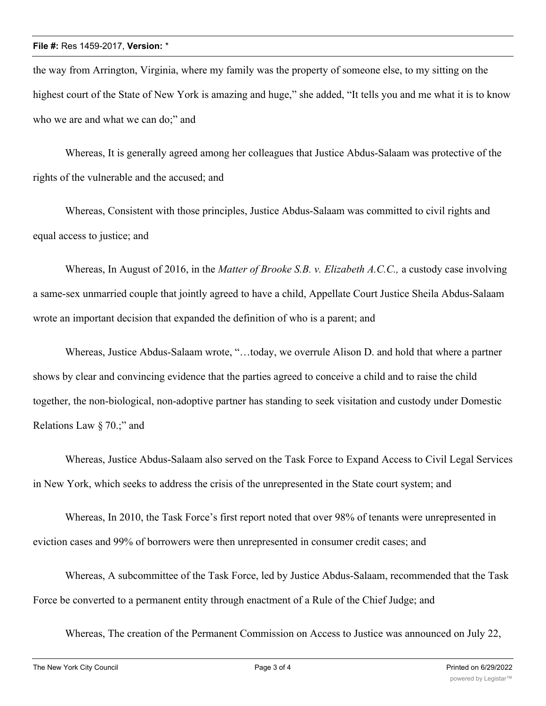the way from Arrington, Virginia, where my family was the property of someone else, to my sitting on the highest court of the State of New York is amazing and huge," she added, "It tells you and me what it is to know who we are and what we can do;" and

Whereas, It is generally agreed among her colleagues that Justice Abdus-Salaam was protective of the rights of the vulnerable and the accused; and

Whereas, Consistent with those principles, Justice Abdus-Salaam was committed to civil rights and equal access to justice; and

Whereas, In August of 2016, in the *Matter of Brooke S.B. v. Elizabeth A.C.C.,* a custody case involving a same-sex unmarried couple that jointly agreed to have a child, Appellate Court Justice Sheila Abdus-Salaam wrote an important decision that expanded the definition of who is a parent; and

Whereas, Justice Abdus-Salaam wrote, "…today, we overrule Alison D. and hold that where a partner shows by clear and convincing evidence that the parties agreed to conceive a child and to raise the child together, the non-biological, non-adoptive partner has standing to seek visitation and custody under Domestic Relations Law § 70.;" and

Whereas, Justice Abdus-Salaam also served on the Task Force to Expand Access to Civil Legal Services in New York, which seeks to address the crisis of the unrepresented in the State court system; and

Whereas, In 2010, the Task Force's first report noted that over 98% of tenants were unrepresented in eviction cases and 99% of borrowers were then unrepresented in consumer credit cases; and

Whereas, A subcommittee of the Task Force, led by Justice Abdus-Salaam, recommended that the Task Force be converted to a permanent entity through enactment of a Rule of the Chief Judge; and

Whereas, The creation of the Permanent Commission on Access to Justice was announced on July 22,